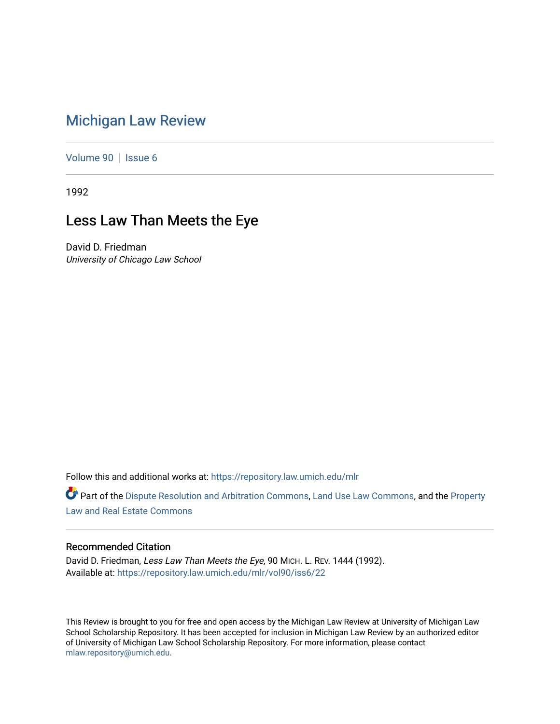# [Michigan Law Review](https://repository.law.umich.edu/mlr)

[Volume 90](https://repository.law.umich.edu/mlr/vol90) | [Issue 6](https://repository.law.umich.edu/mlr/vol90/iss6)

1992

# Less Law Than Meets the Eye

David D. Friedman University of Chicago Law School

Follow this and additional works at: [https://repository.law.umich.edu/mlr](https://repository.law.umich.edu/mlr?utm_source=repository.law.umich.edu%2Fmlr%2Fvol90%2Fiss6%2F22&utm_medium=PDF&utm_campaign=PDFCoverPages) 

Part of the [Dispute Resolution and Arbitration Commons,](http://network.bepress.com/hgg/discipline/890?utm_source=repository.law.umich.edu%2Fmlr%2Fvol90%2Fiss6%2F22&utm_medium=PDF&utm_campaign=PDFCoverPages) [Land Use Law Commons,](http://network.bepress.com/hgg/discipline/852?utm_source=repository.law.umich.edu%2Fmlr%2Fvol90%2Fiss6%2F22&utm_medium=PDF&utm_campaign=PDFCoverPages) and the Property [Law and Real Estate Commons](http://network.bepress.com/hgg/discipline/897?utm_source=repository.law.umich.edu%2Fmlr%2Fvol90%2Fiss6%2F22&utm_medium=PDF&utm_campaign=PDFCoverPages)

### Recommended Citation

David D. Friedman, Less Law Than Meets the Eye, 90 MICH. L. REV. 1444 (1992). Available at: [https://repository.law.umich.edu/mlr/vol90/iss6/22](https://repository.law.umich.edu/mlr/vol90/iss6/22?utm_source=repository.law.umich.edu%2Fmlr%2Fvol90%2Fiss6%2F22&utm_medium=PDF&utm_campaign=PDFCoverPages) 

This Review is brought to you for free and open access by the Michigan Law Review at University of Michigan Law School Scholarship Repository. It has been accepted for inclusion in Michigan Law Review by an authorized editor of University of Michigan Law School Scholarship Repository. For more information, please contact [mlaw.repository@umich.edu.](mailto:mlaw.repository@umich.edu)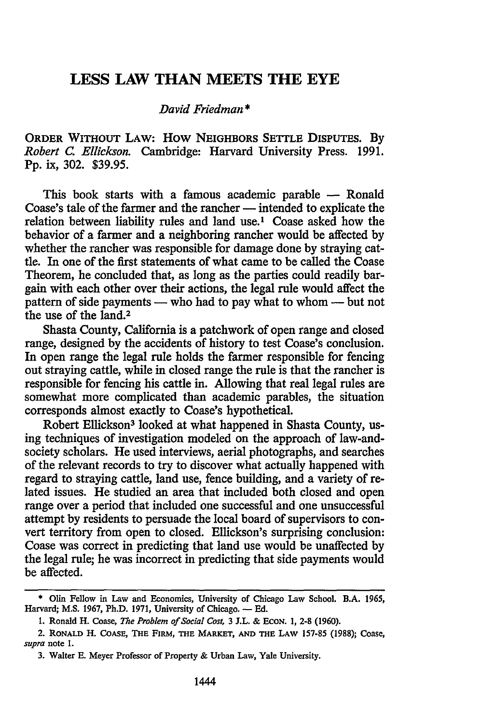### **LESS LAW THAN MEETS THE EYE**

#### *David Friedman\**

ORDER WITHOUT LAW: How NEIGHBORS SETTLE DISPUTES. By *Robert C. Ellickson.* Cambridge: Harvard University Press. 1991. Pp. ix, 302. \$39.95.

This book starts with a famous academic parable -- Ronald Coase's tale of the farmer and the rancher — intended to explicate the relation between liability rules and land use.<sup>1</sup> Coase asked how the behavior of a farmer and a neighboring rancher would be affected by whether the rancher was responsible for damage done by straying cattle. In one of the first statements of what came to be called the Coase Theorem, he concluded that, as long as the parties could readily bargain with each other over their actions, the legal rule would affect the pattern of side payments  $-$  who had to pay what to whom  $-$  but not the use of the land.<sup>2</sup>

Shasta County, California is a patchwork of open range and closed range, designed by the accidents of history to test Coase's conclusion. In open range the legal rule holds the farmer responsible for fencing out straying cattle, while in closed range the rule is that the rancher is responsible for fencing his cattle in. Allowing that real legal rules are somewhat more complicated than academic parables, the situation corresponds almost exactly to Coase's hypothetical.

Robert Ellickson3 looked at what happened in Shasta County, using techniques of investigation modeled on the approach of law-andsociety scholars. He used interviews, aerial photographs, and searches of the relevant records to try to discover what actually happened with regard to straying cattle, land use, fence building, and a variety of related issues. He studied an area that included both closed and open range over a period that included one successful and one unsuccessful attempt by residents to persuade the local board of supervisors to convert territory from open to closed. Ellickson's surprising conclusion: Coase was correct in predicting that land use would be unaffected by the legal rule; he was incorrect in predicting that side payments would be affected.

<sup>\*</sup> Olin Fellow in Law and Economics, University of Chicago Law School. B.A. 1965, Harvard; M.S. 1967, Ph.D. 1971, University of Chicago. - Ed.

<sup>1.</sup> Ronald H. Coase, *The Problem of Social Cost,* 3 J.L. & EcoN. 1, 2-8 (1960).

<sup>2.</sup> RONALD H. CoASE, THE FIRM, THE MARKET, AND THE LAW 157-85 (1988); Coase, *supra* note 1.

<sup>3.</sup> Walter E. Meyer Professor of Property & Urban Law, Yale University.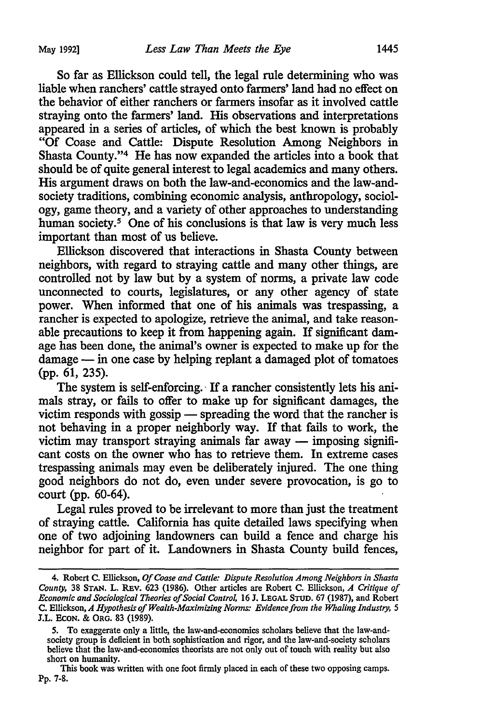So far as Ellickson could tell, the legal rule determining who was liable when ranchers' cattle strayed onto farmers' land had no effect on the behavior of either ranchers or farmers insofar as it involved cattle straying onto the farmers' land. His observations and interpretations appeared in a series of articles, of which the best known is probably "Of Coase and Cattle: Dispute Resolution Among Neighbors in Shasta County."4 He has now expanded the articles into a book that should be of quite general interest to legal academics and many others. His argument draws on both the law-and-economics and the law-andsociety traditions, combining economic analysis, anthropology, sociology, game theory, and a variety of other approaches to understanding human society.<sup>5</sup> One of his conclusions is that law is very much less important than most of us believe.

Ellickson discovered that interactions in Shasta County between neighbors, with regard to straying cattle and many other things, are controlled not by law but by a system of norms, a private law code unconnected to courts, legislatures, or any other agency of state power. When informed that one of his animals was trespassing, a rancher is expected to apologize, retrieve the animal, and take reasonable precautions to keep it from happening again. If significant damage has been done, the animal's owner is expected to make up for the damage — in one case by helping replant a damaged plot of tomatoes (pp. 61, 235).

The system is self-enforcing.· If a rancher consistently lets his animals stray, or fails to offer to make up for significant damages, the victim responds with gossip  $-$  spreading the word that the rancher is not behaving in a proper neighborly way. If that fails to work, the victim may transport straying animals far away  $-$  imposing significant costs on the owner who has to retrieve them. In extreme cases trespassing animals may even be deliberately injured. The one thing good neighbors do not do, even under severe provocation, is go to court (pp. 60-64).

Legal rules proved to be irrelevant to more than just the treatment of straying cattle. California has quite detailed laws specifying when one of two adjoining landowners can build a fence and charge his neighbor for part of it. Landowners in Shasta County build fences,

<sup>4.</sup> Robert C. Ellickson, *Of Coase and Cottle: Dispute Resolution Among Neighbors in Shasta County,* 38 STAN. L. REV. 623 (1986). Other articles are Robert C. Ellickson, *A Critique of Economic and Sociological Theories of Social Control,* 16 J. LEGAL STUD. 67 (1987), and Robert C. Ellickson, *A Hypothesis of Wealth-Maximizing Norms: Evidence from the Whaling Industry, 5*  J.L. EcON. & 0RG. 83 (1989).

*<sup>5.</sup>* To exaggerate only a little, the law-and-economics scholars believe that the law-andsociety group is deficient in both sophistication and rigor, and the law-and-society scholars believe that the law-and-economics theorists are not only out of touch with reality but also short on humanity.

This book was written with one foot firmly placed in each of these two opposing camps. Pp. 7-8.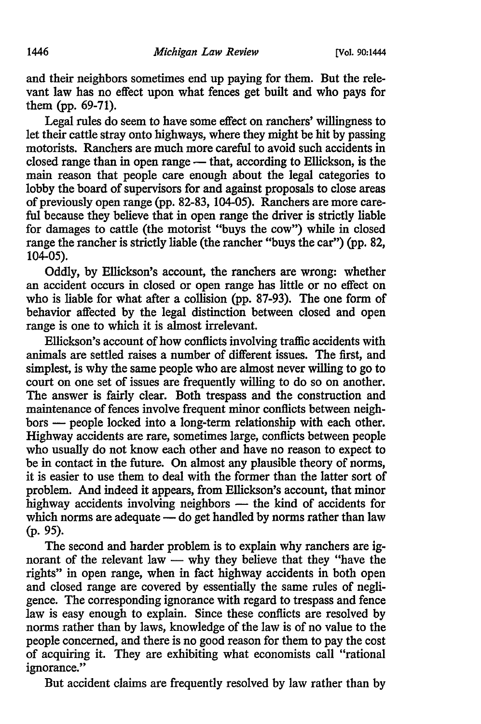and their neighbors sometimes end up paying for them. But the relevant law has no effect upon what fences get built and who pays for them (pp. 69-71).

Legal rules do seem to have some effect on ranchers' willingness to let their cattle stray onto highways, where they might be hit by passing motorists. Ranchers are much more careful to avoid such accidents in closed range than in open range — that, according to Ellickson, is the main reason that people care enough about the legal categories to lobby the board of supervisors for and against proposals to close areas of previously open range (pp. 82-83, 104-05). Ranchers are more careful because they believe that in open range the driver is strictly liable for damages to cattle (the motorist "buys the cow") while in closed range the rancher is strictly liable (the rancher "buys the car") (pp. 82, 104-05).

Oddly, by Ellickson's account, the ranchers are wrong: whether an accident occurs in closed or open range has little or no effect on who is liable for what after a collision (pp. 87-93). The one form of behavior affected by the legal distinction between closed and open range is one to which it is almost irrelevant.

Ellickson's account of how conflicts involving traffic accidents with animals are settled raises a number of different issues. The first, and simplest, is why the same people who are almost never willing to go to court on one set of issues are frequently willing to do so on another. The answer is fairly clear. Both trespass and the construction and maintenance of fences involve frequent minor conflicts between neighbors - people locked into a long-term relationship with each other. Highway accidents are rare, sometimes large, conflicts between people who usually do not know each other and have no reason to expect to be in contact in the future. On almost any plausible theory of norms, it is easier to use them to deal with the former than the latter sort of problem. And indeed it appears, from Ellickson's account, that minor highway accidents involving neighbors - the kind of accidents for which norms are adequate  $-$  do get handled by norms rather than law (p. 95).

The second and harder problem is to explain why ranchers are ignorant of the relevant law  $-$  why they believe that they "have the rights" in open range, when in fact highway accidents in both open and closed range are covered by essentially the same rules of negligence. The corresponding ignorance with regard to trespass and fence law is easy enough to explain. Since these conflicts are resolved by norms rather than by laws, knowledge of the law is of no value to the people concerned, and there is no good reason for them to pay the cost of acquiring it. They are exhibiting what economists call "rational ignorance."

But accident claims are frequently resolved by law rather than by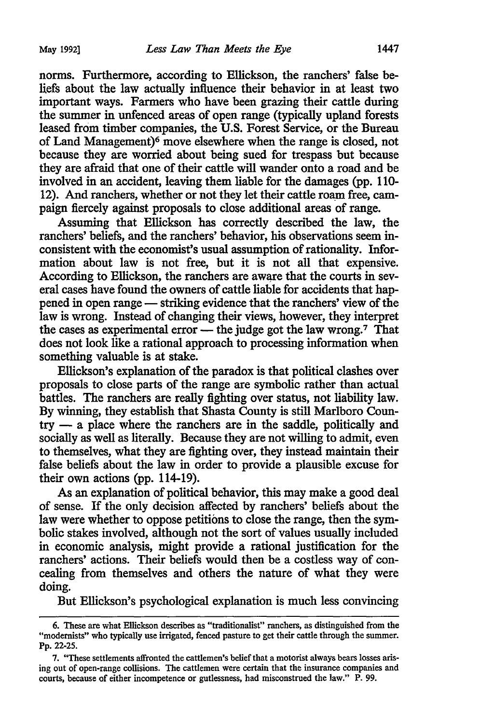norms. Furthermore, according to Ellickson, the ranchers' false beliefs about the law actually influence their behavior in at least two important ways. Farmers who have been grazing their cattle during the summer in unfenced areas of open range (typically upland forests leased from timber companies, the U.S. Forest Service, or the Bureau of Land Management)6 move elsewhere when the range is closed, not because they are worried about being sued for trespass but because they are afraid that one of their cattle will wander onto a road and be involved in an accident, leaving them liable for the damages (pp. 110- 12). And ranchers, whether or not they let their cattle roam free, campaign fiercely against proposals to close additional areas of range.

Assuming that Ellickson has correctly described the law, the ranchers' beliefs, and the ranchers' behavior, his observations seem inconsistent with the economist's usual assumption of rationality. Information about law is not free, but it is not all that expensive. According to Ellickson, the ranchers are aware that the courts in several cases have found the owners of cattle liable for accidents that happened in open range — striking evidence that the ranchers' view of the law is wrong. Instead of changing their views, however, they interpret the cases as experimental error  $-$  the judge got the law wrong.<sup>7</sup> That does not look like a rational approach to processing information when something valuable is at stake.

Ellickson's explanation of the paradox is that political clashes over proposals to close parts of the range are symbolic rather than actual battles. The ranchers are really fighting over status, not liability law. By winning, they establish that Shasta County is still Marlboro Coun $try - a place where the randomness are in the saddle, pointically and$ socially as well as literally. Because they are not willing to admit, even to themselves, what they are fighting over, they instead maintain their false beliefs about the law in order to provide a plausible excuse for their own actions (pp. 114-19).

As an explanation of political behavior, this may make a good deal of sense. If the only decision affected by ranchers' beliefs about the law were whether to oppose petitions to close the range, then the symbolic stakes involved, although not the sort of values usually included in economic analysis, might provide a rational justification for the ranchers' actions. Their beliefs would then be a costless way of concealing from themselves and others the nature of what they were doing.

But Ellickson's psychological explanation is much less convincing

<sup>6.</sup> These are what Ellickson describes as "traditionalist" ranchers, as distinguished from the "modernists" who typically use irrigated, fenced pasture to get their cattle through the summer. Pp. 22-25.

<sup>7. &</sup>quot;These settlements affronted the cattlemen's belief that a motorist always bears losses arising out of open-range collisions. The cattlemen were certain that the insurance companies and courts, because of either incompetence or gutlessness, had misconstrued the law." P. 99.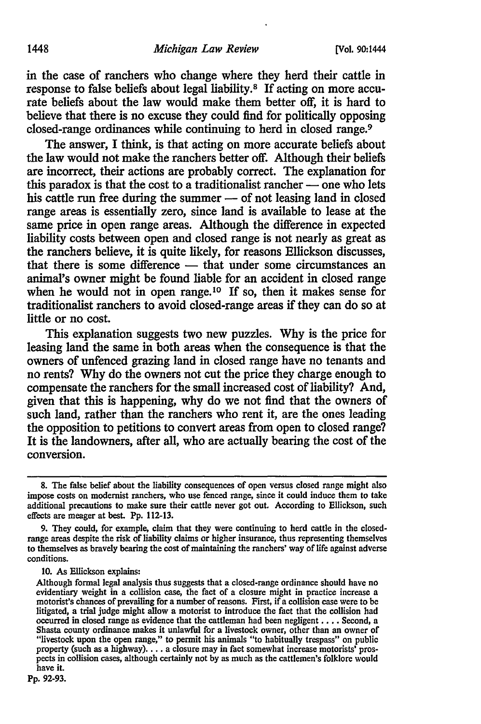in the case of ranchers who change where they herd their cattle in response to false beliefs about legal liability.8 If acting on more accurate beliefs about the law would make them better off, it is hard to believe that there is no excuse they could find for politically opposing closed-range ordinances while continuing to herd in closed range.<sup>9</sup>

The answer, I think, is that acting on more accurate beliefs about the law would not make the ranchers better off. Although their beliefs are incorrect, their actions are probably correct. The explanation for this paradox is that the cost to a traditionalist rancher  $\sim$  one who lets his cattle run free during the summer — of not leasing land in closed range areas is essentially zero, since land is available to lease at the same price in open range areas. Although the difference in expected liability costs between open and closed range is not nearly as great as the ranchers believe, it is quite likely, for reasons Ellickson discusses, that there is some difference  $-$  that under some circumstances an animal's owner might be found liable for an accident in closed range when he would not in open range.<sup>10</sup> If so, then it makes sense for traditionalist ranchers to avoid closed-range areas if they can do so at little or no cost.

This explanation suggests two new puzzles. Why is the price for leasing land the same in both areas when the consequence is that the owners of unfenced grazing land in closed range have no tenants and no rents? Why do the owners not cut the price they charge enough to compensate the ranchers for the small increased cost of liability? And, given that this is happening, why do we not find that the owners of such land, rather than the ranchers who rent it, are the ones leading the opposition to petitions to convert areas from open to closed range? It is the landowners, after all, who are actually bearing the cost of the conversion.

10. As Ellickson explains:

<sup>8.</sup> The false belief about the liability consequences of open versus closed range might also impose costs on modernist ranchers, who use fenced range, since it could induce them to take additional precautions to make sure their cattle never got out. According to Ellickson, such effects are meager at best. Pp. 112-13.

<sup>9.</sup> They could, for example, claim that they were continuing to herd cattle in the closed· range areas despite the risk of liability claims or higher insurance, thus representing themselves to themselves as bravely bearing the cost of maintaining the ranchers' way of life against adverse conditions.

Although formal legal analysis thus suggests that a closed-range ordinance should have no evidentiary weight in a collision case, the fact of a closure might in practice increase a motorist's chances of prevailing for a number of reasons. First, if a collision case were to be litigated, a trial judge might allow a motorist to introduce the fact that the collision had occurred in closed range as evidence that the cattleman had been negligent  $\dots$ . Second, a Shasta county ordinance makes it unlawful for a livestock owner, other than an owner of "livestock upon the open range," to permit his animals "to habitually trespass" on public property (such as a highway).... a closure may in fact somewhat increase motorists' prospects in collision cases, although certainly not by as much as the cattlemen's folklore would have it.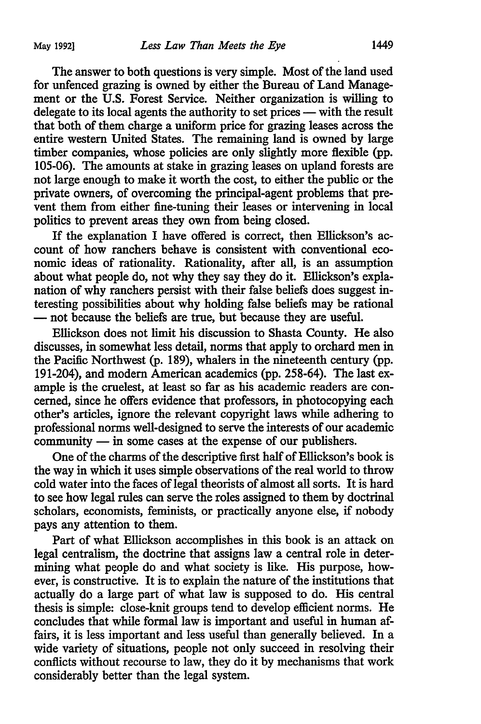The answer to both questions is very simple. Most of the land used for unfenced grazing is owned by either the Bureau of Land Management or the U.S. Forest Service. Neither organization is willing to delegate to its local agents the authority to set prices - with the result that both of them charge a uniform price for grazing leases across the entire western United States. The remaining land is owned by large timber companies, whose policies are only slightly more flexible (pp. 105-06). The amounts at stake in grazing leases on upland forests are not large enough to make it worth the cost, to either the public or the private owners, of overcoming the principal-agent problems that prevent them from either fine-tuning their leases or intervening in local politics to prevent areas they own from being closed.

If the explanation I have offered is correct, then Ellickson's account of how ranchers behave is consistent with conventional economic ideas of rationality. Rationality, after all, is an assumption about what people do, not why they say they do it. Ellickson's explanation of why ranchers persist with their false beliefs does suggest interesting possibilities about why holding false beliefs may be rational - not because the beliefs are true, but because they are useful.

Ellickson does not limit his discussion to Shasta County. He also discusses, in somewhat less detail, norms that apply to orchard men in the Pacific Northwest (p. 189), whalers in the nineteenth century (pp. 191-204), and modem American academics (pp. 258-64). The last example is the cruelest, at least so far as his academic readers are concerned, since he offers evidence that professors, in photocopying each other's articles, ignore the relevant copyright laws while adhering to professional norms well-designed to serve the interests of our academic  $community$  — in some cases at the expense of our publishers.

One of the charms of the descriptive first half of Ellickson's book is the way in which it uses simple observations of the real world to throw cold water into the faces of legal theorists of almost all sorts. It is hard to see how legal rules can serve the roles assigned to them by doctrinal scholars, economists, feminists, or practically anyone else, if nobody pays any attention to them.

Part of what Ellickson accomplishes in this book is an attack on legal centralism, the doctrine that assigns law a central role in determining what people do and what society is like. His purpose, however, is constructive. It is to explain the nature of the institutions that actually do a large part of what law is supposed to do. His central thesis is simple: close-knit groups tend to develop efficient norms. He concludes that while formal law is important and useful in human affairs, it is less important and less useful than generally believed. In a wide variety of situations, people not only succeed in resolving their conflicts without recourse to law, they do it by mechanisms that work considerably better than the legal system.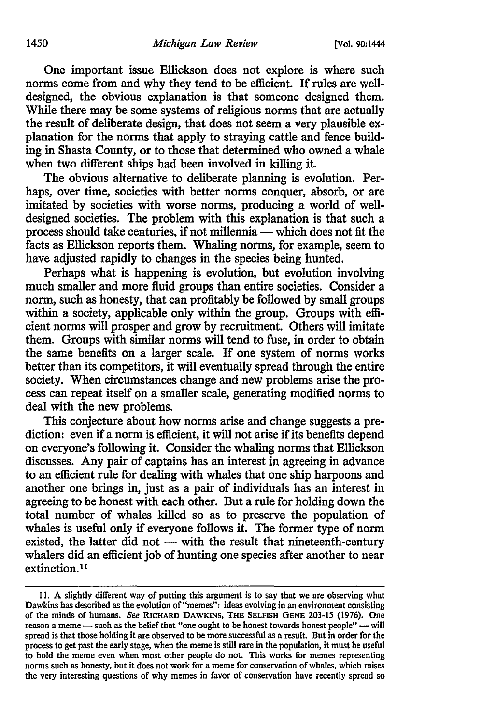One important issue Ellickson does not explore is where such norms come from and why they tend to be efficient. If rules are welldesigned, the obvious explanation is that someone designed them. While there may be some systems of religious norms that are actually the result of deliberate design, that does not seem a very plausible explanation for the norms that apply to straying cattle and fence building in Shasta County, or to those that determined who owned a whale when two different ships had been involved in killing it.

The obvious alternative to deliberate planning is evolution. Perhaps, over time, societies with better norms conquer, absorb, or are imitated by societies with worse norms, producing a world of welldesigned societies. The problem with this explanation is that such a process should take centuries, if not millennia  $\frac{1}{x}$  which does not fit the facts as Ellickson reports them. Whaling norms, for example, seem to have adjusted rapidly to changes in the species being hunted.

Perhaps what is happening is evolution, but evolution involving much smaller and more fluid groups than entire societies. Consider a norm, such as honesty, that can profitably be followed by small groups within a society, applicable only within the group. Groups with efficient norms will prosper and grow by recruitment. Others will imitate them. Groups with similar norms will tend to fuse, in order to obtain the same benefits on a larger scale. If one system of norms works better than its competitors, it will eventually spread through the entire society. When circumstances change and new problems arise the process can repeat itself on a smaller scale, generating modified norms to deal with the new problems.

This conjecture about how norms arise and change suggests a prediction: even if a norm is efficient, it will not arise if its benefits depend on everyone's following it. Consider the whaling norms that Ellickson discusses. Any pair of captains has an interest in agreeing in advance to an efficient rule for dealing with whales that one ship harpoons and another one brings in, just as a pair of individuals has an interest in agreeing to be honest with each other. But a rule for holding down the total number of whales killed so as to preserve the population of whales is useful only if everyone follows it. The former type of norm existed, the latter did not  $-$  with the result that nineteenth-century whalers did an efficient job of hunting one species after another to near extinction.<sup>11</sup>

<sup>11.</sup> A slightly different way of putting this argument is to say that we are observing what Dawkins has described as the evolution of "memes": ideas evolving in an environment consisting of the minds of humans. *See* RICHARD DAWKINS, THE SELFISH GENE 203-15 (1976). One reason a meme — such as the belief that "one ought to be honest towards honest people" — will spread is that those holding it are observed to be more successful as a result. But in order for the process to get past the early stage, when the meme is still rare in the population, it must be useful to hold the meme even when most other people do not. This works for memes representing norms such as honesty, but it does not work for a meme for conservation of whales, which raises the very interesting questions of why memes in favor of conservation have recently spread so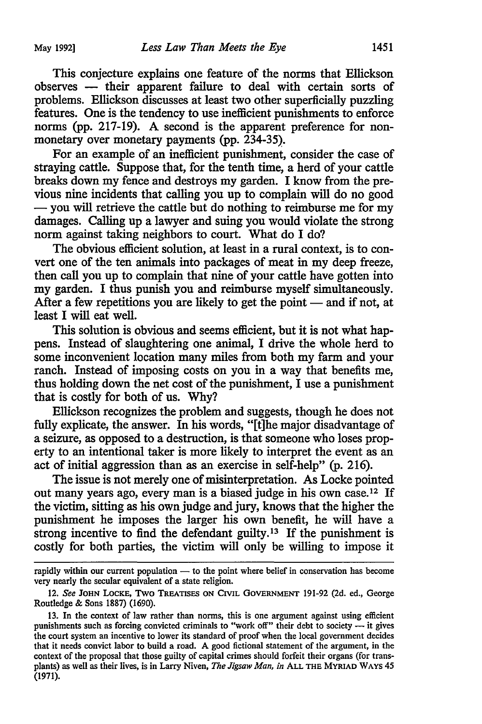This conjecture explains one feature of the norms that Ellickson observes - their apparent failure to deal with certain sorts of problems. Ellickson discusses at least two other superficially puzzling features. One is the tendency to use inefficient punishments to enforce norms (pp. 217-19). A second is the apparent preference for nonmonetary over monetary payments (pp. 234-35).

For an example of an inefficient punishment, consider the case of straying cattle. Suppose that, for the tenth time, a herd of your cattle breaks down my fence and destroys my garden. I know from the previous nine incidents that calling you up to complain will do no good - you will retrieve the cattle but do nothing to reimburse me for my damages. Calling up a lawyer and suing you would violate the strong norm against taking neighbors to court. What do I do?

The obvious efficient solution, at least in a rural context, is to convert one of the ten animals into packages of meat in my deep freeze, then call you up to complain that nine of your cattle have gotten into my garden. I thus punish you and reimburse myself simultaneously. After a few repetitions you are likely to get the point  $-$  and if not, at least I will eat well.

This solution is obvious and seems efficient, but it is not what happens. Instead of slaughtering one animal, I drive the whole herd to some inconvenient location many miles from both my farm and your ranch. Instead of imposing costs on you in a way that benefits me, thus holding down the net cost of the punishment, I use a punishment that is costly for both of us. Why?

Ellickson recognizes the problem and suggests, though he does not fully explicate, the answer. In his words, "[t]he major disadvantage of a seizure, as opposed to a destruction, is that someone who loses property to an intentional taker is more likely to interpret the event as an act of initial aggression than as an exercise in self-help" (p. 216).

The issue is not merely one of misinterpretation. As Locke pointed out many years ago, every man is a biased judge in his own case. 12 If the victim, sitting as his own judge and jury, knows that the higher the punishment he imposes the larger his own benefit, he will have a strong incentive to find the defendant guilty.<sup>13</sup> If the punishment is costly for both parties, the victim will only be willing to impose it

rapidly within our current population - to the point where belief in conservation has become very nearly the secular equivalent of a state religion.

<sup>12.</sup> *See* JOHN LoCKE, Two TREATISES ON CIVIL GOVERNMENT 191-92 (2d. ed., George Routledge & Sons 1887) (1690).

<sup>13.</sup> In the context of law rather than norms, this is one argument against using efficient punishments such as forcing convicted criminals to "work off" their debt to society --- it gives the court system an incentive to lower its standard of proof when the local government decides that it needs convict labor to build a road. A good fictional statement of the argument, in the context of the proposal that those guilty of capital crimes should forfeit their organs (for transplants) as well as their lives, is in Larry Niven, *The Jigsaw Man, in* ALL THE MYRIAD WAYS 45 (1971).